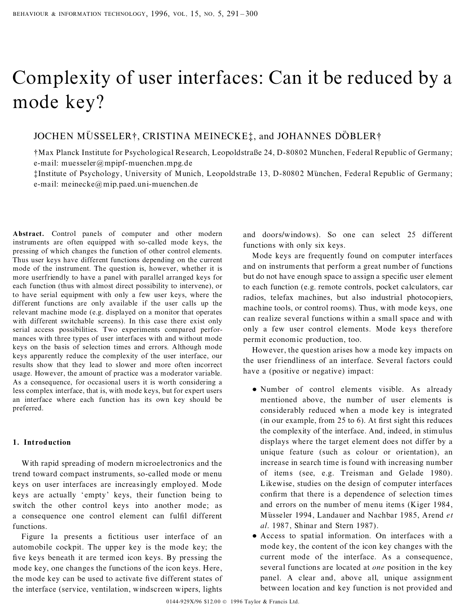# Complexity of user interfaces: Can it be reduced by a mode key?

## JOCHEN MÜSSELER†, CRISTINA MEINECKE‡, and JOHANNES DÖBLER†

 $\dagger$ Max Planck Institute for Psychological Research, Leopoldstraße 24, D-80802 München, Federal Republic of Germany; e-mail: muesseler@mpipf-muenchen.mpg.de

 $\text{IInstitute of Psychology},$  University of Munich, Leopoldstraße 13, D-80802 München, Federal Republic of Germany; e-mail: meinecke@mip.paed.uni-muenchen.de

**Abstract.** Control panels of computer and other modern instruments are often equipped with so-called mode keys, the pressing of which changes the function of other control elements. Thus user keys have different functions depending on the current mode of the instrument. The question is, however, whether it is more userfriendly to have a panel with parallel arranged keys for each function (thus with almost direct possibility to intervene), or to have serial equipment with only a few user keys, where the different functions are only available if the user calls up the relevant machine mode (e.g. displayed on a monitor that operates with different switchable screens). In this case there exist only serial access possibilities. Two experiments compared perfor mances with three types of user interfaces with and without mode keys on the basis of selection times and errors. Although mode keys apparently reduce the complexity of the user interface, our results show that they lead to slower and more often incorrect usage. However, the amount of practice was a moderator variable. As a consequence, for occasional users it is worth considering a less complex interface, that is, with mode keys, but for expert users an interface where each function has its own key should be preferred.

## **1. Introduction**

With rapid spreading of modern microelectronics and the trend toward compact instruments, so-called mode or menu keys on user interfaces are increasingly employed. Mode keys are actually `empty' keys, their function being to switch the other control keys into another mode; as a consequence one control element can fulfil different functions.

Figure 1a presents a fictitious user interface of an automobile cockpit. The upper key is the mode key; the five keys beneath it are termed icon keys. By pressing the mode key, one changes the functions of the icon keys. Here, the mode key can be used to activate five different states of the interface (service, ventilation, windscreen wipers, lights

and doors/windows). So one can select 25 different functions with only six keys.

Mode keys are frequently found on computer interfaces and on instruments that perform a great number of functions but do not have enough space to assign a specific user element to each function (e.g. remote controls, pocket calculators, car radios, telefax machines, but also industrial photocopiers, machine tools, or control rooms). Thus, with mode keys, one can realize several functions within a small space and with only a few user control elements. Mode keys therefore permit economic production, too.

However, the question arises how a mode key impacts on the user friendliness of an interface. Several factors could have a (positive or negative) impact:

- Number of control elements visible. As already mentioned above, the number of user elements is considerably reduced when a mode key is integrated  $(in our example, from 25 to 6)$ . At first sight this reduces the complexity of the interface. And, indeed, in stimulus displays where the target element does not differ by a unique feature (such as colour or orientation), an increase in search time is found with increasing number of items (see, e.g. Treisman and Gelade 1980). Likewise, studies on the design of computer interfaces confirm that there is a dependence of selection times and errors on the number of menu items (Kiger 1984, MuÈsseler 1994, Landauer and Nachbar 1985, Arend *et al*. 1987, Shinar and Stern 1987).
- · Access to spatial information. On interfaces with a mode key, the content of the icon key changes with the current mode of the interface. As a consequence, several functions are located at *one* position in the key panel. A clear and, above all, unique assignment between location and key function is not provided and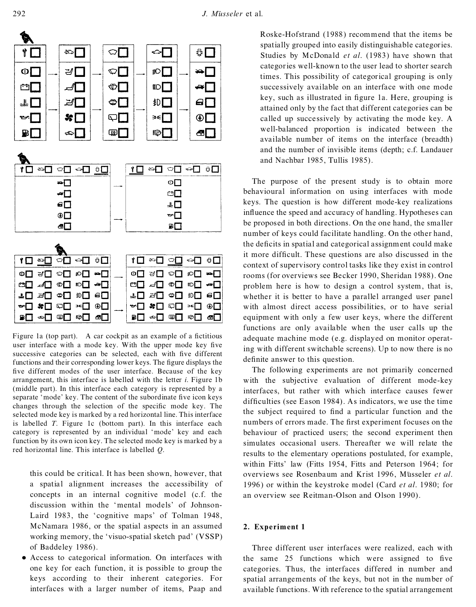

Figure 1a (top part). A car cockpit as an example of a fictitious user interface with a mode key. With the upper mode key five successive categories can be selected, each with five different functions and their corresponding lower keys. The figure displays the five different modes of the user interface. Because of the key arrangement, this interface is labelled with the letter *i*. Figure 1b (middle part). In this interface each category is represented by a separate 'mode' key. The content of the subordinate five icon keys changes through the selection of the specific mode key. The selected mode key is marked by a red horizontal line. This interface is labelled *T*. Figure 1c (bottom part). In this interface each category is represented by an individual 'mode' key and each function by its own icon key. The selected mode key is marked by a red horizontal line. This interface is labelled *Q*.

this could be critical. It has been shown, however, that a spatial alignment increases the accessibility of concepts in an internal cognitive model (c.f. the discussion within the `mental models' of Johnson- Laird 1983, the `cognitive maps' of Tolman 1948, McNamara 1986, or the spatial aspects in an assumed working memory, the `visuo-spatial sketch pad' (VSSP) of Baddeley 1986).

· Access to categorical information. On interfaces with one key for each function, it is possible to group the keys according to their inherent categories. For interfaces with a larger number of items, Paap and

Roske-Hofstrand (1988) recommend that the items be spatially grouped into easily distinguishable categories. Studies by McDonald *et al*. (1983) have shown that categories well-known to the user lead to shorter search times. This possibility of categorical grouping is only successively available on an interface with one mode key, such as illustrated in figure 1a. Here, grouping is attained only by the fact that different categories can be called up successively by activating the mode key. A well-balanced proportion is indicated between the available number of items on the interface (breadth) and the number of invisible items (depth; c.f. Landauer and Nachbar 1985, Tullis 1985).

The purpose of the present study is to obtain more behavioural information on using interfaces with mode keys. The question is how different mode-key realizations influence the speed and accuracy of handling. Hypotheses can be proposed in both directions. On the one hand, the smaller number of keys could facilitate handling. On the other hand, the deficits in spatial and categorical assignment could make it more difficult. These questions are also discussed in the context of supervisory control tasks like they exist in control rooms (for overviews see Becker 1990, Sheridan 1988). One problem here is how to design a control system, that is, whether it is better to have a parallel arranged user panel with almost direct access possibilities, or to have serial equipment with only a few user keys, where the different functions are only available when the user calls up the adequate machine mode (e.g. displayed on monitor operating with different switchable screens). Up to now there is no definite answer to this question.

The following experiments are not primarily concerned with the subjective evaluation of different mode-key interfaces, but rather with which interface causes fewer difficulties (see Eason 1984). As indicators, we use the time the subject required to find a particular function and the numbers of errors made. The first experiment focuses on the behaviour of practiced users; the second experiment then simulates occasional users. Thereafter we will relate the results to the elementary operations postulated, for example, within Fitts' law (Fitts 1954, Fitts and Peterson 1964; for overviews see Rosenbaum and Krist 1996, Müsseler *et al.* 1996) or within the keystroke model (Card *et al*. 1980; for an overview see Reitman-Olson and Olson 1990).

#### **2. Experiment 1**

Three different user interfaces were realized, each with the same  $25$  functions which were assigned to five categories. Thus, the interfaces differed in number and spatial arrangements of the keys, but not in the number of available functions. With reference to the spatial arrangement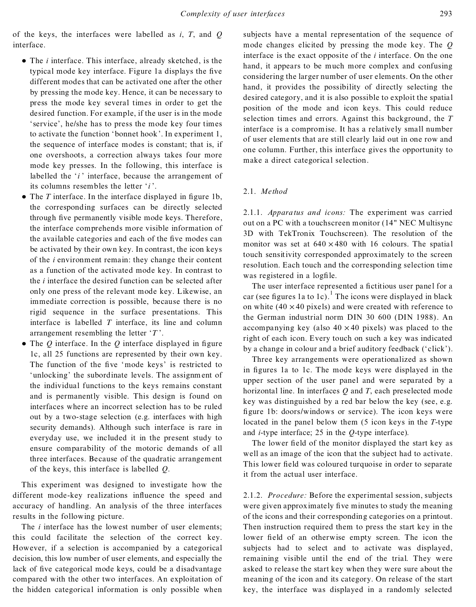of the keys, the interfaces were labelled as *i*, *T*, and *Q* interface.

- The *i* interface. This interface, already sketched, is the typical mode key interface. Figure 1a displays the five different modes that can be activated one after the other by pressing the mode key. Hence, it can be necessary to press the mode key several times in order to get the desired function. For example, if the user is in the mode 'service', he/she has to press the mode key four times to activate the function 'bonnet hook'. In experiment 1, the sequence of interface modes is constant; that is, if one overshoots, a correction always takes four more mode key presses. In the following, this interface is labelled the '*i*' interface, because the arrangement of its columns resembles the letter '*i*'.
- The *T* interface. In the interface displayed in figure 1b, the corresponding surfaces can be directly selected through five permanently visible mode keys. Therefore, the interface comprehends more visible information of the available categories and each of the five modes can be activated by their own key. In contrast, the icon keys of the *i* environment remain: they change their content as a function of the activated mode key. In contrast to the *i* interface the desired function can be selected after only one press of the relevant mode key. Likewise, an immediate correction is possible, because there is no rigid sequence in the surface presentations. This interface is labelled *T* interface, its line and column arrangement resembling the letter  $T$ .
- The  $Q$  interface. In the  $Q$  interface displayed in figure 1c, all 25 functions are represented by their own key. The function of the five 'mode keys' is restricted to 'unlocking' the subordinate levels. The assignment of the individual functions to the keys remains constant and is permanently visible. This design is found on interfaces where an incorrect selection has to be ruled out by a two-stage selection (e.g. interfaces with high security demands). Although such interface is rare in everyday use, we included it in the present study to ensure comparability of the motoric demands of all three interfaces. Because of the quadratic arrangement of the keys, this interface is labelled *Q*.

This experiment was designed to investigate how the different mode-key realizations influence the speed and accuracy of handling. An analysis of the three interfaces results in the following picture.

The *i* interface has the lowest number of user elements; this could facilitate the selection of the correct key. However, if a selection is accompanied by a categorical decision, this low number of user elements, and especially the lack of five categorical mode keys, could be a disadvantage compared with the other two interfaces. An exploitation of the hidden categorical information is only possible when

subjects have a mental representation of the sequence of mode changes elicited by pressing the mode key. The *Q* interface is the exact opposite of the *i* interface. On the one hand, it appears to be much more complex and confusing considering the larger number of user elements. On the other hand, it provides the possibility of directly selecting the desired category, and it is also possible to exploit the spatial position of the mode and icon keys. This could reduce selection times and errors. Against this background, the *T* interface is a compromise. It has a relatively small number of user elements that are still clearly laid out in one row and one column. Further, this interface gives the opportunity to make a direct categorical selection.

## 2.1. *Method*

2.1.1. *Apparatus and icons:* The experiment was carried out on a PC with a touchscreen monitor (14" NEC Multisync 3D with TekTronix Touchscreen). The resolution of the monitor was set at  $640 \times 480$  with 16 colours. The spatial touch sensitivity corresponded approximately to the screen resolution. Each touch and the corresponding selection time was registered in a logfile.

The user interface represented a fictitious user panel for a car (see figures 1a to 1c).<sup>1</sup> The icons were displayed in black on white  $(40 \times 40 \text{ pixels})$  and were created with reference to the German industrial norm DIN 30 600 (DIN 1988). An accompanying key (also  $40 \times 40$  pixels) was placed to the right of each icon. Every touch on such a key was indicated by a change in colour and a brief auditory feedback ('click').

Three key arrangements were operationalized as shown in figures 1a to 1c. The mode keys were displayed in the upper section of the user panel and were separated by a horizontal line. In interfaces *Q* and *T*, each preselected mode key was distinguished by a red bar below the key (see, e.g. figure 1b: doors/windows or service). The icon keys were located in the panel below them (5 icon keys in the *T*-type and *i*-type interface; 25 in the *Q*-type interface).

The lower field of the monitor displayed the start key as well as an image of the icon that the subject had to activate. This lower field was coloured turquoise in order to separate it from the actual user interface.

2.1.2. *Procedure:* Before the experimental session, subjects were given approximately five minutes to study the meaning of the icons and their corresponding categories on a printout. Then instruction required them to press the start key in the lower field of an otherwise empty screen. The icon the subjects had to select and to activate was displayed, remaining visible until the end of the trial. They were asked to release the start key when they were sure about the meaning of the icon and its category. On release of the start key, the interface was displayed in a randomly selected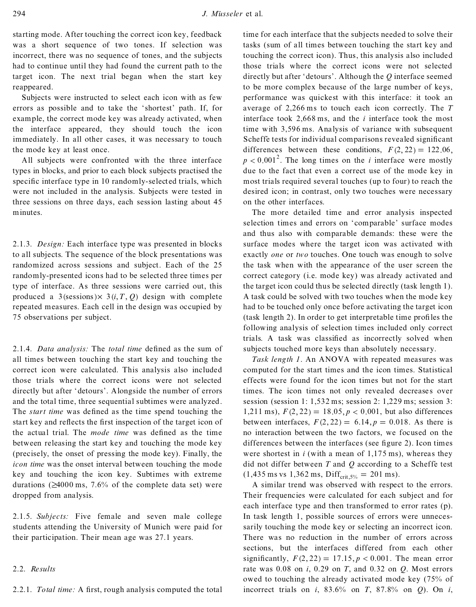starting mode. After touching the correct icon key, feedback was a short sequence of two tones. If selection was incorrect, there was no sequence of tones, and the subjects had to continue until they had found the current path to the target icon. The next trial began when the start key reappeared.

Subjects were instructed to select each icon with as few errors as possible and to take the `shortest' path. If, for example, the correct mode key was already activated, when the interface appeared, they should touch the icon immediately. In all other cases, it was necessary to touch the mode key at least once.

All subjects were confronted with the three interface types in blocks, and prior to each block subjects practised the specific interface type in 10 randomly-selected trials, which were not included in the analysis. Subjects were tested in three sessions on three days, each session lasting about 45 minutes.

2.1.3. *Design:* Each interface type was presented in blocks to all subjects. The sequence of the block presentations was randomized across sessions and subject. Each of the 25 randomly-presented icons had to be selected three times per type of interface. As three sessions were carried out, this produced a 3(sessions) $\times$  3(*i*, *T*, *Q*) design with complete repeated measures. Each cell in the design was occupied by 75 observations per subject.

2.1.4. *Data analysis:* The *total time* defined as the sum of all times between touching the start key and touching the correct icon were calculated. This analysis also included those trials where the correct icons were not selected directly but after 'detours'. Alongside the number of errors and the total time, three sequential subtimes were analyzed. The *start time* was defined as the time spend touching the start key and reflects the first inspection of the target icon of the actual trial. The *mode time* was defined as the time between releasing the start key and touching the mode key (precisely, the onset of pressing the mode key). Finally, the *icon time* was the onset interval between touching the mode key and touching the icon key. Subtimes with extreme durations  $(\geq 4000 \text{ ms}, 7.6\%$  of the complete data set) were dropped from analysis.

2.1.5. *Subjects:* Five female and seven male college students attending the University of Munich were paid for their participation. Their mean age was 27.1 years.

## 2.2. *Results*

time for each interface that the subjects needed to solve their tasks (sum of all times between touching the start key and touching the correct icon). Thus, this analysis also included those trials where the correct icons were not selected directly but after `detours' . Although the *Q* interface seemed to be more complex because of the large number of keys, performance was quickest with this interface: it took an average of 2,266 ms to touch each icon correctly. The *T* interface took 2,668 ms, and the *i* interface took the most time with 3,596 ms. Analysis of variance with subsequent Scheffe tests for individual comparisons revealed significant differences between these conditions,  $F(2, 22) = 122.06$ ,  $p < 0.001^2$ . The long times on the *i* interface were mostly due to the fact that even a correct use of the mode key in most trials required several touches (up to four) to reach the desired icon; in contrast, only two touches were necessary on the other interfaces.

The more detailed time and error analysis inspected selection times and errors on 'comparable' surface modes and thus also with comparable demands: these were the surface modes where the target icon was activated with exactly *one* or *two* touches. One touch was enough to solve the task when with the appearance of the user screen the correct category (i.e. mode key) was already activated and the target icon could thus be selected directly (task length 1). A task could be solved with two touches when the mode key had to be touched only once before activating the target icon  $(task length 2)$ . In order to get interpretable time profiles the following analysis of selection times included only correct trials. A task was classified as incorrectly solved when subjects touched more keys than absolutely necessary.

*Task length 1*. An ANOVA with repeated measures was computed for the start times and the icon times. Statistical effects were found for the icon times but not for the start times. The icon times not only revealed decreases over session (session 1: 1,532 ms; session 2: 1,229 ms; session 3: 1,211 ms),  $F(2, 22) = 18.05$ ,  $p < 0.001$ , but also differences between interfaces,  $F(2, 22) = 6.14, p = 0.018$ . As there is no interaction between the two factors, we focused on the differences between the interfaces (see figure 2). Icon times were shortest in  $i$  (with a mean of  $1,175$  ms), whereas they did not differ between  $T$  and  $Q$  according to a Scheffe test  $(1,435 \text{ ms vs } 1,362 \text{ ms}, \text{Diff}_{\text{crit,5\%}} = 201 \text{ ms}).$ 

A similar trend was observed with respect to the errors. Their frequencies were calculated for each subject and for each interface type and then transformed to error rates (p). In task length 1, possible sources of errors were unnecessarily touching the mode key or selecting an incorrect icon. There was no reduction in the number of errors across sections, but the interfaces differed from each other significantly,  $F(2, 22) = 17.15$ ,  $p < 0.001$ . The mean error rate was 0.08 on *i*, 0.29 on *T*, and 0.32 on *Q*. Most errors owed to touching the already activated mode key (75% of incorrect trials on *i*, 83.6% on *T*, 87.8% on *Q*). On *i*,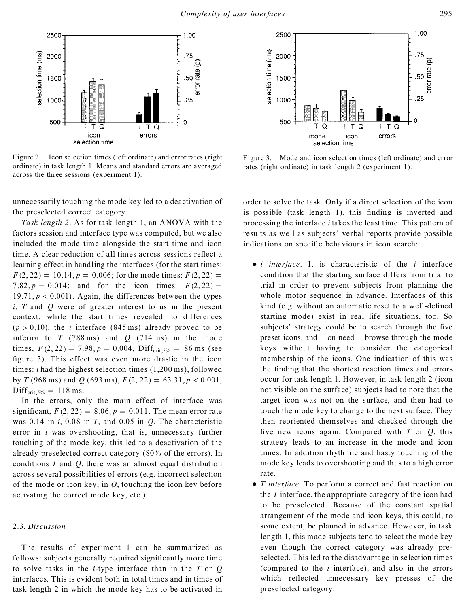

Figure 2. Icon selection times (left ordinate) and error rates (right ordinate) in task length 1. Means and standard errors are averaged across the three sessions (experiment 1).

unnecessaril y touching the mode key led to a deactivation of the preselected correct category.

*Task length 2*. As for task length 1, an ANOVA with the factors session and interface type was computed, but we also included the mode time alongside the start time and icon time. A clear reduction of all times across sessions reflect a learning effect in handling the interfaces (for the start times:  $F(2, 22) = 10.14, p = 0.006$ ; for the mode times:  $F(2, 22) =$ 7.82,  $p = 0.014$ ; and for the icon times:  $F(2, 22) =$ 19.71,  $p < 0.001$ ). Again, the differences between the types *i*, *T* and *Q* were of greater interest to us in the present context; while the start times revealed no differences  $(p > 0.10)$ , the *i* interface (845 ms) already proved to be inferior to  $T$  (788 ms) and  $Q$  (714 ms) in the mode times,  $F(2, 22) = 7.98$ ,  $p = 0.004$ , Diff<sub>crit 5%</sub> = 86 ms (see figure 3). This effect was even more drastic in the icon times: *i* had the highest selection times (1,200 ms), followed by *T* (968 ms) and *Q* (693 ms),  $F(2, 22) = 63.31, p < 0.001$ ,  $Diff_{crit.5\%} = 118$  ms.

In the errors, only the main effect of interface was significant,  $F(2, 22) = 8.06$ ,  $p = 0.011$ . The mean error rate was 0.14 in *i*, 0.08 in *T*, and 0.05 in *Q*. The characteristic error in *i* was overshooting, that is, unnecessary further touching of the mode key, this led to a deactivation of the already preselected correct category (80% of the errors). In conditions *T* and *Q*, there was an almost equal distribution across several possibilities of errors (e.g. incorrect selection of the mode or icon key; in *Q*, touching the icon key before activating the correct mode key, etc.).

## 2.3. *Discussion*

The results of experiment 1 can be summarized as follows: subjects generally required significantly more time to solve tasks in the *i*-type interface than in the *T* or *Q* interfaces. This is evident both in total times and in times of task length 2 in which the mode key has to be activated in



Figure 3. Mode and icon selection times (left ordinate) and error rates (right ordinate) in task length 2 (experiment 1).

order to solve the task. Only if a direct selection of the icon is possible (task length 1), this finding is inverted and processing the interface *i*takes the least time. This pattern of results as well as subjects' verbal reports provide possible indications on specific behaviours in icon search:

- · *i interface*. It is characteristic of the *i* interface condition that the starting surface differs from trial to trial in order to prevent subjects from planning the whole motor sequence in advance. Interfaces of this kind (e.g. without an automatic reset to a well-defined starting mode) exist in real life situations, too. So subjects' strategy could be to search through the five preset icons, and  $-$  on need  $-$  browse through the mode keys without having to consider the categorical membership of the icons. One indication of this was the finding that the shortest reaction times and errors occur for task length 1. However, in task length 2 (icon not visible on the surface) subjects had to note that the target icon was not on the surface, and then had to touch the mode key to change to the next surface. They then reoriented themselves and checked through the five new icons again. Compared with  $T$  or  $Q$ , this strategy leads to an increase in the mode and icon times. In addition rhythmic and hasty touching of the mode key leads to overshooting and thus to a high error rate.
- · *T interface*. To perform a correct and fast reaction on the *T* interface, the appropriate category of the icon had to be preselected. Because of the constant spatial arrangement of the mode and icon keys, this could, to some extent, be planned in advance. However, in task length 1, this made subjects tend to select the mode key even though the correct category was already preselected. This led to the disadvantage in selection times (compared to the *i* interface), and also in the errors which reflected unnecessary key presses of the preselected category.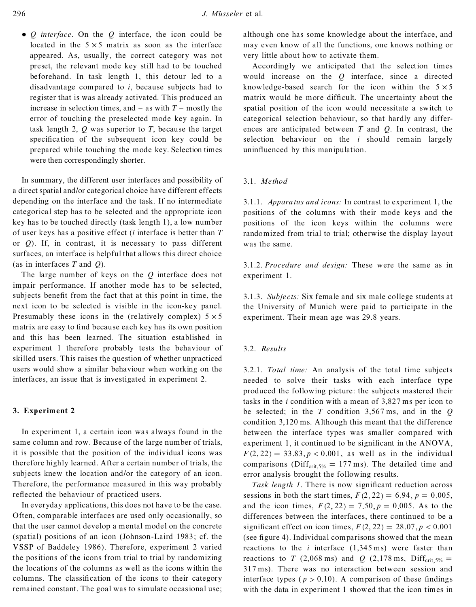· *Q interface*. On the *Q* interface, the icon could be located in the  $5 \times 5$  matrix as soon as the interface appeared. As, usually, the correct category was not preset, the relevant mode key still had to be touched beforehand. In task length 1, this detour led to a disadvantage compared to *i*, because subjects had to register that is was already activated. This produced an increase in selection times, and  $-$  as with  $T$   $-$  mostly the error of touching the preselected mode key again. In task length 2, *Q* was superior to *T*, because the target specification of the subsequent icon key could be prepared while touching the mode key. Selection times were then correspondingly shorter.

In summary, the different user interfaces and possibility of a direct spatial and/or categorical choice have different effects depending on the interface and the task. If no intermediate categorical step has to be selected and the appropriate icon key has to be touched directly (task length 1), a low number of user keys has a positive effect (*i* interface is better than *T* or *Q*). If, in contrast, it is necessary to pass different surfaces, an interface is helpful that allows this direct choice (as in interfaces *T* and *Q*).

The large number of keys on the *Q* interface does not impair performance. If another mode has to be selected, subjects benefit from the fact that at this point in time, the next icon to be selected is visible in the icon-key panel. Presumably these icons in the (relatively complex)  $5 \times 5$ matrix are easy to find because each key has its own position and this has been learned. The situation established in experiment 1 therefore probably tests the behaviour of skilled users. This raises the question of whether unpracticed users would show a similar behaviour when working on the interfaces, an issue that is investigated in experiment 2.

## **3. Experiment 2**

In experiment 1, a certain icon was always found in the same column and row. Because of the large number of trials, it is possible that the position of the individual icons was therefore highly learned. After a certain number of trials, the subjects knew the location and/or the category of an icon. Therefore, the performance measured in this way probably reflected the behaviour of practiced users.

In everyday applications, this does not have to be the case. Often, comparable interfaces are used only occasionally, so that the user cannot develop a mental model on the concrete (spatial) positions of an icon (Johnson-Laird 1983; cf. the VSSP of Baddeley 1986). Therefore, experiment 2 varied the positions of the icons from trial to trial by randomizing the locations of the columns as well as the icons within the columns. The classification of the icons to their category remained constant. The goal was to simulate occasional use;

although one has some knowledge about the interface, and may even know of all the functions, one knows nothing or very little about how to activate them.

Accordingly we anticipated that the selection times would increase on the *Q* interface, since a directed knowledge-based search for the icon within the  $5 \times 5$ matrix would be more difficult. The uncertainty about the spatial position of the icon would necessitate a switch to categorical selection behaviour, so that hardly any differ ences are anticipated between *T* and *Q*. In contrast, the selection behaviour on the *i* should remain largely uninfluenced by this manipulation.

## 3.1. *Method*

3.1.1. *Apparatus and icons:* In contrast to experiment 1, the positions of the columns with their mode keys and the positions of the icon keys within the columns were randomized from trial to trial; otherwise the display layout was the same.

3.1.2. *Procedure and design:* These were the same as in experiment 1.

3.1.3. *Subjects:* Six female and six male college students at the University of Munich were paid to participate in the experiment. Their mean age was 29.8 years.

## 3.2. *Results*

3.2.1. *Total time:* An analysis of the total time subjects needed to solve their tasks with each interface type produced the following picture: the subjects mastered their tasks in the *i* condition with a mean of 3,827 ms per icon to be selected; in the *T* condition 3,567 ms, and in the *Q* condition 3,120 ms. Although this meant that the difference between the interface types was smaller compared with experiment 1, it continued to be significant in the  $ANOVA$ ,  $F(2, 22) = 33.83, p < 0.001$ , as well as in the individual comparisons (Diff<sub>crit,5%</sub> = 177 ms). The detailed time and error analysis brought the following results.

*Task length 1*. There is now significant reduction across sessions in both the start times,  $F(2, 22) = 6.94$ ,  $p = 0.005$ , and the icon times,  $F(2, 22) = 7.50, p = 0.005$ . As to the differences between the interfaces, there continued to be a significant effect on icon times,  $F(2, 22) = 28.07, p < 0.001$ (see figure 4). Individual comparisons showed that the mean reactions to the  $i$  interface  $(1,345 \text{ ms})$  were faster than reactions to *T* (2,068 ms) and *Q* (2,178 ms, Diff<sub>crit,5%</sub> = 317 ms). There was no interaction between session and interface types ( $p > 0.10$ ). A comparison of these findings with the data in experiment 1 showed that the icon times in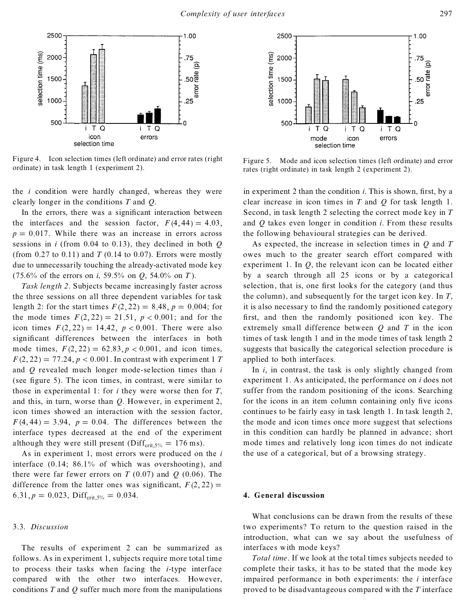

Figure 4. Icon selection times (left ordinate) and error rates (right Figure 4. Icon selection times (left ordinate) and error rates (right Figure 5. Mode and icon selection times (left ordinate) and error ordinate) in task length 1 (experiment 2).

the *i* condition were hardly changed, whereas they were clearly longer in the conditions *T* and *Q*.

In the errors, there was a significant interaction between the interfaces and the session factor,  $F(4, 44) = 4.03$ ,  $p = 0.017$ . While there was an increase in errors across sessions in *i* (from 0.04 to 0.13), they declined in both *Q* (from  $0.27$  to  $0.11$ ) and *T* (0.14 to 0.07). Errors were mostly due to unnecessarily touching the already-activated mode key (75.6% of the errors on *i*, 59.5% on *Q*, 54.0% on *T* ).

*Task length 2*. Subjects became increasingly faster across the three sessions on all three dependent variables for task length 2: for the start times  $F(2, 22) = 8.48$ ,  $p = 0.004$ ; for the mode times  $F(2, 22) = 21.51$ ,  $p < 0.001$ ; and for the icon times  $F(2, 22) = 14.42$ ,  $p < 0.001$ . There were also significant differences between the interfaces in both mode times,  $F(2, 22) = 62.83$ ,  $p < 0.001$ , and icon times,  $F(2, 22) = 77.24, p < 0.001$ . In contrast with experiment 1 *T* and *Q* revealed much longer mode-selection times than *i* (see figure 5). The icon times, in contrast, were similar to those in experimental 1: for *i* they were worse then for *T*, and this, in turn, worse than *Q*. However, in experiment 2, icon times showed an interaction with the session factor,  $F(4, 44) = 3.94$ ,  $p = 0.04$ . The differences between the interface types decreased at the end of the experiment although they were still present ( $\text{Diff}_{\text{crit,5\%}} = 176 \text{ ms}$ ).

As in experiment 1, most errors were produced on the *i* interface  $(0.14; 86.1\%$  of which was overshooting), and there were far fewer errors on  $T(0.07)$  and  $Q(0.06)$ . The difference from the latter ones was significant,  $F(2, 22) =$ 6.31,  $p = 0.023$ , Diff<sub>crit, 5%</sub> = 0.034.

## 3.3. *Discussion*

The results of experiment 2 can be summarized as follows. As in experiment 1, subjects require more total time to process their tasks when facing the *i*-type interface compared with the other two interfaces. However, conditions *T* and *Q* suffer much more from the manipulations



rates (right ordinate) in task length 2 (experiment 2).

in experiment 2 than the condition *i*. This is shown, first, by a clear increase in icon times in *T* and *Q* for task length 1. Second, in task length 2 selecting the correct mode key in *T* and *Q* takes even longer in condition *i*. From these results the following behavioural strategies can be derived.

As expected, the increase in selection times in *Q* and *T* owes much to the greater search effort compared with experiment 1. In *Q*, the relevant icon can be located either by a search through all 25 icons or by a categorical selection, that is, one first looks for the category (and thus the column), and subsequently for the target icon key. In *T*, it is also necessary to find the randomly positioned category first, and then the randomly positioned icon key. The extremely small difference between *Q* and *T* in the icon times of task length 1 and in the mode times of task length 2 suggests that basically the categorical selection procedure is applied to both interfaces.

In *i*, in contrast, the task is only slightly changed from experiment 1. As anticipated, the performance on *i* does not suffer from the random positioning of the icons. Searching for the icons in an item column containing only five icons continues to be fairly easy in task length 1. In task length 2, the mode and icon times once more suggest that selections in this condition can hardly be planned in advance; short mode times and relatively long icon times do not indicate the use of a categorical, but of a browsing strategy.

#### **4. General discussion**

What conclusions can be drawn from the results of these two experiments? To return to the question raised in the introduction, what can we say about the usefulness of interfaces with mode keys?

*Total time*. If we look at the total times subjects needed to complete their tasks, it has to be stated that the mode key impaired performance in both experiments: the *i* interface proved to be disadvantageous compared with the *T* interface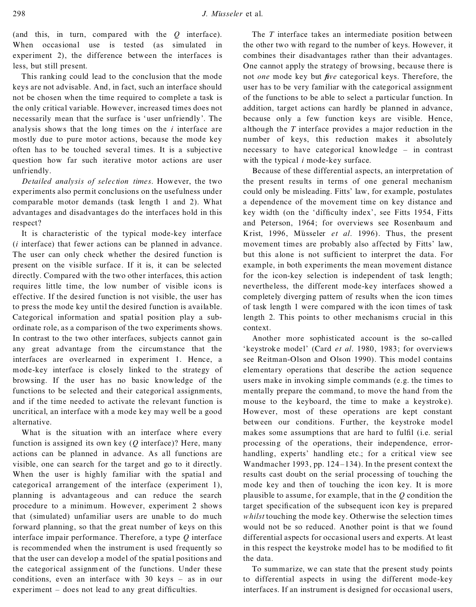(and this, in turn, compared with the *Q* interface). When occasional use is tested (as simulated in experiment 2), the difference between the interfaces is less, but still present.

This ranking could lead to the conclusion that the mode keys are not advisable. And, in fact, such an interface should not be chosen when the time required to complete a task is the only critical variable. However, increased times does not necessarily mean that the surface is 'user unfriendly'. The analysis shows that the long times on the *i* interface are mostly due to pure motor actions, because the mode key often has to be touched several times. It is a subjective question how far such iterative motor actions are user unfriendly.

*Detailed analysis of selection times*. However, the two experiments also permit conclusions on the usefulness under comparable motor demands (task length 1 and 2). What advantages and disadvantages do the interfaces hold in this respect?

It is characteristic of the typical mode-key interface (*i* interface) that fewer actions can be planned in advance. The user can only check whether the desired function is present on the visible surface. If it is, it can be selected directly. Compared with the two other interfaces, this action requires little time, the low number of visible icons is effective. If the desired function is not visible, the user has to press the mode key until the desired function is available. Categorical information and spatial position play a sub ordinate role, as a comparison of the two experiments shows. In contrast to the two other interfaces, subjects cannot gain any great advantage from the circumstance that the interfaces are overlearned in experiment 1. Hence, a mode-key interface is closely linked to the strategy of browsing. If the user has no basic knowledge of the functions to be selected and their categorical assignments, and if the time needed to activate the relevant function is uncritical, an interface with a mode key may well be a good alternative.

What is the situation with an interface where every function is assigned its own key (*Q* interface)? Here, many actions can be planned in advance. As all functions are visible, one can search for the target and go to it directly. When the user is highly familiar with the spatial and categorical arrangement of the interface (experiment 1), planning is advantageous and can reduce the search procedure to a minimum. However, experiment 2 shows that (simulated) unfamiliar users are unable to do much forward planning, so that the great number of keys on this interface impair performance. Therefore, a type *Q* interface is recommended when the instrument is used frequently so that the user can develop a model of the spatial positions and the categorical assignm ent of the functions. Under these conditions, even an interface with  $30 \text{ keys} = \text{as in our}$ experiment - does not lead to any great difficulties.

The *T* interface takes an intermediate position between the other two with regard to the number of keys. However, it combines their disadvantages rather than their advantages. One cannot apply the strategy of browsing, because there is not *one* mode key but *five* categorical keys. Therefore, the user has to be very familiar with the categorical assignment of the functions to be able to select a particular function. In addition, target actions can hardly be planned in advance, because only a few function keys are visible. Hence, although the *T* interface provides a major reduction in the number of keys, this reduction makes it absolutely necessary to have categorical knowledge  $=$  in contrast with the typical *i* mode-key surface.

Because of these differential aspects, an interpretation of the present results in terms of one general mechanism could only be misleading. Fitts' law, for example, postulates a dependence of the movement time on key distance and key width (on the 'difficulty index', see Fitts 1954, Fitts and Peterson, 1964; for overviews see Rosenbaum and Krist, 1996, Müsseler *et al.* 1996). Thus, the present movement times are probably also affected by Fitts' law, but this alone is not sufficient to interpret the data. For example, in both experiments the mean movement distance for the icon-key selection is independent of task length; nevertheless, the different mode-key interfaces showed a completely diverging pattern of results when the icon times of task length 1 were compared with the icon times of task length 2. This points to other mechanisms crucial in this context.

Another more sophisticated account is the so-called `keystroke model' (Card *et al*. 1980, 1983; for overviews see Reitman-Olson and Olson 1990). This model contains elementary operations that describe the action sequence users make in invoking simple commands (e.g. the times to mentally prepare the command, to move the hand from the mouse to the keyboard, the time to make a keystroke). However, most of these operations are kept constant between our conditions. Further, the keystroke model makes some assumptions that are hard to fulfil (i.e. serial processing of the operations, their independence, error handling, experts' handling etc.; for a critical view see Wandmacher 1993, pp.  $124-134$ ). In the present context the results cast doubt on the serial processing of touching the mode key and then of touching the icon key. It is more plausible to assume, for example, that in the *Q* condition the target specification of the subsequent icon key is prepared *whilst* touching the mode key. Otherwise the selection times would not be so reduced. Another point is that we found differential aspects for occasional users and experts. At least in this respect the keystroke model has to be modified to fit the data.

To summarize, we can state that the present study points to differential aspects in using the different mode-key interfaces. If an instrument is designed for occasional users,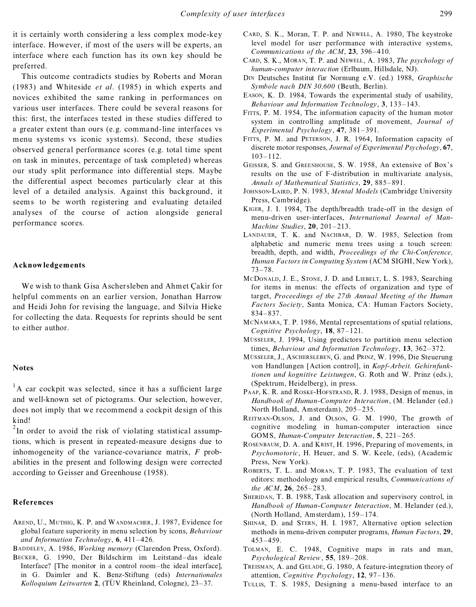it is certainly worth considering a less complex mode-key interface. However, if most of the users will be experts, an interface where each function has its own key should be preferred.

This outcome contradicts studies by Roberts and Moran (1983) and Whiteside *et al*. (1985) in which experts and novices exhibited the same ranking in performances on various user interfaces. There could be several reasons for this: first, the interfaces tested in these studies differed to a greater extent than ours (e.g. command-line interfaces vs menu systems vs iconic systems). Second, these studies observed general performance scores (e.g. total time spent on task in minutes, percentage of task completed) whereas our study split performance into differential steps. Maybe the differential aspect becomes particularly clear at this level of a detailed analysis. Against this background, it seems to be worth registering and evaluating detailed analyses of the course of action alongside general performance scores.

## **Acknowledgements**

We wish to thank Gisa Aschersleben and Ahmet Cakir for helpful comments on an earlier version, Jonathan Harrow and Heidi John for revising the language, and Silvia Hieke for collecting the data. Requests for reprints should be sent to either author.

#### **Notes**

 $1$ A car cockpit was selected, since it has a sufficient large and well-known set of pictograms. Our selection, however, does not imply that we recommend a cockpit design of this kind!

 $2$ In order to avoid the risk of violating statistical assumptions, which is present in repeated-measure designs due to inhomogeneity of the variance-covariance matrix, *F* probabilities in the present and following design were corrected according to Geisser and Greenhouse (1958).

## **References**

AREND, U., MUTHIG, K. P. and WANDMACHER, J. 1987, Evidence for global feature superiority in menu selection by icons, *Behaviour* and *Information Technology*,  $6, 411-426$ .

BADDELEY, A. 1986, *Working memory* (Clarendon Press, Oxford).

BECKER, G. 1990, Der Bildschirm im Leitstand-das ideale Interface? [The monitor in a control room-the ideal interface], in G. Daimler and K. Benz-Stiftung (eds) *Internationales Kolloquium Leitwarten* 2, (TÜV Rheinland, Cologne), 23–37.

- CARD, S. K., Moran, T. P. and NEWELL, A. 1980, The keystroke level model for user performance with interactive systems, *Communications of the ACM*, 23, 396-410.
- CARD, S. K., MORAN, T. P. and NEWELL, A. 1983, *The psychology of human-computer interaction* (Erlbaum, Hillsdale, NJ).
- D<sub>IN</sub> Deutsches Institut für Normung e.V. (ed.) 1988, *Graphische Symbole nach DIN 30,600* (Beuth, Berlin).
- EASON, K. D. 1984, Towards the experimental study of usability, *Behaviour and Information Technology*, 3, 133-143.
- FITTS, P. M. 1954, The information capacity of the human motor system in controlling amplitude of movement, *Journal of Experimental Psychology*, 47, 381-391.
- FITTS, P. M. and PETERSON, J. R. 1964, Information capacity of discrete motor responses, *Journal of Experimental Psychology*, **67**,  $103 - 112$ .
- GEISSER, S. and GREENHOUSE, S. W. 1958, An extensive of Box's results on the use of F-distribution in multivariate analysis, *Annals of Mathematical Statistics*, 29, 885-891.
- JOHNSON-LAIRD, P. N. 1983, *Mental Models* (Cambridge University Press, Cambridge).
- KIGER, J. I. 1984, The depth/breadth trade-off in the design of menu-driven user-interfaces, *International Journal of Man- Machine Studies*, 20, 201-213.
- LANDAUER, T. K. and NACHBAR, D. W. 1985, Selection from alphabetic and numeric menu trees using a touch screen: breadth, depth, and width, *Proceedings of the Chi-Conference, Human Factors in Computing System* (ACM SIGHI, New York),  $73 - 78.$
- MCDONALD, J. E., STONE, J. D. and LIEBELT, L. S. 1983, Searching for items in menus: the effects of organization and type of target, *Proceedings of the 27th Annual Meeting of the Human Factors Society*, Santa Monica, CA: Human Factors Society, 834±837.
- MCNAMARA, T. P. 1986, Mental representations of spatial relations, *Cognitive Psychology*, **18**, 87-121.
- MÜSSELER, J. 1994, Using predictors to partition menu selection times, *Behaviour and Information Technology*, 13, 362-372.
- MÜSSELER, J., ASCHERSLEBEN, G. and PRINZ, W. 1996, Die Steuerung von Handlungen [Action control], in *Kopf-Arbeit. Gehirnfunktionen und kognitive Leistungen*, G. Roth and W. Prinz (eds.), (Spektrum, Heidelberg), in press.
- PAAP, K. R. and ROSKE-HOFSTRAND, R. J. 1988, Design of menus, in *Handbook of Human-Computer Interaction*, (M. Helander (ed.) North Holland, Amsterdam), 205-235.
- REITMAN-OLSON, J. and OLSON, G. M. 1990, The growth of cognitive modeling in human-computer interaction since GOMS, *Human-Computer Interaction*, 5, 221-265.
- ROSENBAUM, D. A. and KRIST, H. 1996, Preparing of movements, in *Psychomotoric*, H. Heuer, and S. W. Keele, (eds), (Academic Press, New York).
- ROBERTS, T. L. and MORAN, T. P. 1983, The evaluation of text editors: methodology and empirical results, *Communications of the ACM*, 26, 265-283.
- SHERIDAN, T. B. 1988, Task allocation and supervisory control, in *Handbook of Human-Computer Interaction*, M. Helander (ed.), (North Holland, Amsterdam),  $159-174$ .
- SHINAR, D. and STERN, H. I. 1987, Alternative option selection methods in menu-driven computer programs, *Human Factors*, **29**,  $453 - 459$ .
- TOLMAN, E. C. 1948, Cognitive maps in rats and man, *Psychological Review*, 55, 189-208.
- TREISMAN, A. and GELADE, G. 1980, A feature-integration theory of attention, *Cognitive Psychology*, 12, 97-136.
- TULLIS, T. S. 1985, Designing a menu-based interface to an